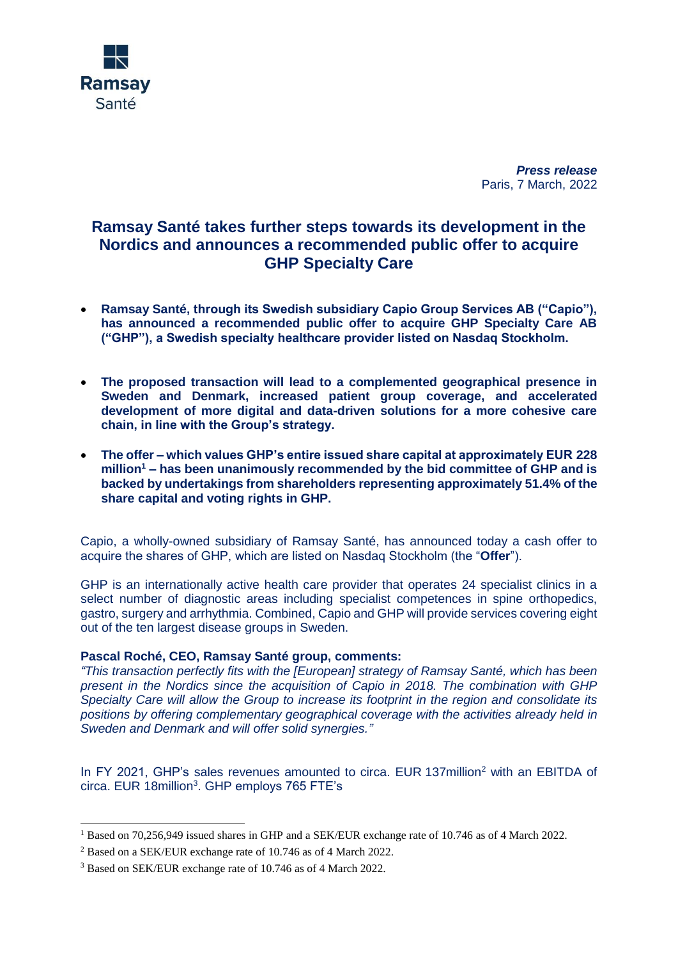

*Press release* Paris, 7 March, 2022

## **Ramsay Santé takes further steps towards its development in the Nordics and announces a recommended public offer to acquire GHP Specialty Care**

- **Ramsay Santé, through its Swedish subsidiary Capio Group Services AB ("Capio"), has announced a recommended public offer to acquire GHP Specialty Care AB ("GHP"), a Swedish specialty healthcare provider listed on Nasdaq Stockholm.**
- **The proposed transaction will lead to a complemented geographical presence in Sweden and Denmark, increased patient group coverage, and accelerated development of more digital and data-driven solutions for a more cohesive care chain, in line with the Group's strategy.**
- **The offer – which values GHP's entire issued share capital at approximately EUR 228 million<sup>1</sup> – has been unanimously recommended by the bid committee of GHP and is backed by undertakings from shareholders representing approximately 51.4% of the share capital and voting rights in GHP.**

Capio, a wholly-owned subsidiary of Ramsay Santé, has announced today a cash offer to acquire the shares of GHP, which are listed on Nasdaq Stockholm (the "**Offer**").

GHP is an internationally active health care provider that operates 24 specialist clinics in a select number of diagnostic areas including specialist competences in spine orthopedics, gastro, surgery and arrhythmia. Combined, Capio and GHP will provide services covering eight out of the ten largest disease groups in Sweden.

## **Pascal Roché, CEO, Ramsay Santé group, comments:**

*"This transaction perfectly fits with the [European] strategy of Ramsay Santé, which has been present in the Nordics since the acquisition of Capio in 2018. The combination with GHP Specialty Care will allow the Group to increase its footprint in the region and consolidate its positions by offering complementary geographical coverage with the activities already held in Sweden and Denmark and will offer solid synergies."*

In FY 2021, GHP's sales revenues amounted to circa. EUR 137million<sup>2</sup> with an EBITDA of circa. EUR 18million<sup>3</sup>. GHP employs 765 FTE's

-

<sup>&</sup>lt;sup>1</sup> Based on 70,256,949 issued shares in GHP and a SEK/EUR exchange rate of 10.746 as of 4 March 2022.

<sup>2</sup> Based on a SEK/EUR exchange rate of 10.746 as of 4 March 2022.

<sup>&</sup>lt;sup>3</sup> Based on SEK/EUR exchange rate of 10.746 as of 4 March 2022.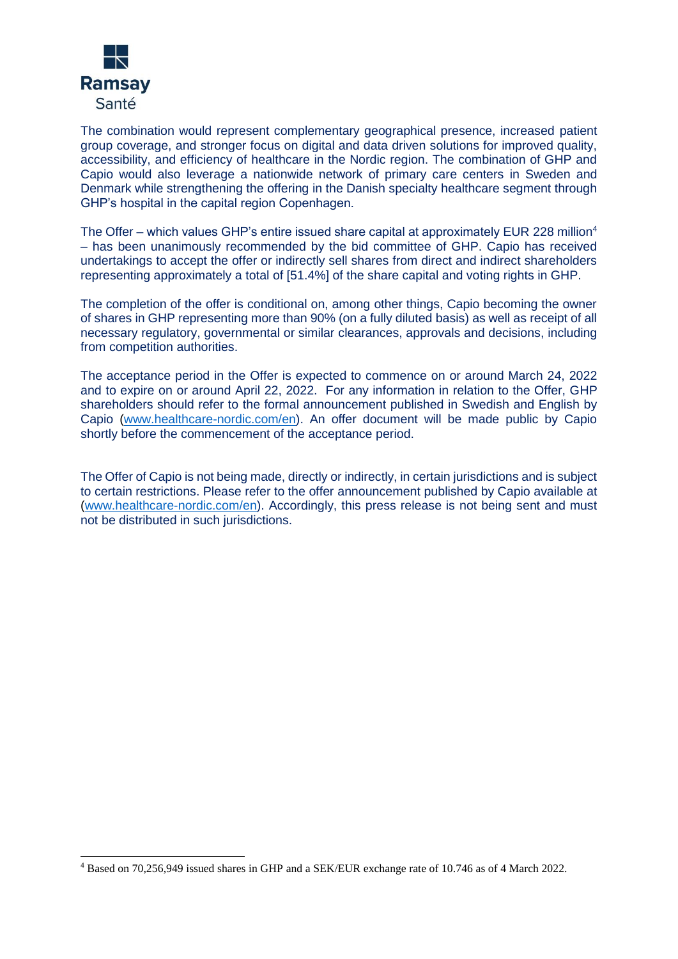

The combination would represent complementary geographical presence, increased patient group coverage, and stronger focus on digital and data driven solutions for improved quality, accessibility, and efficiency of healthcare in the Nordic region. The combination of GHP and Capio would also leverage a nationwide network of primary care centers in Sweden and Denmark while strengthening the offering in the Danish specialty healthcare segment through GHP's hospital in the capital region Copenhagen.

The Offer - which values GHP's entire issued share capital at approximately EUR 228 million<sup>4</sup> – has been unanimously recommended by the bid committee of GHP. Capio has received undertakings to accept the offer or indirectly sell shares from direct and indirect shareholders representing approximately a total of [51.4%] of the share capital and voting rights in GHP.

The completion of the offer is conditional on, among other things, Capio becoming the owner of shares in GHP representing more than 90% (on a fully diluted basis) as well as receipt of all necessary regulatory, governmental or similar clearances, approvals and decisions, including from competition authorities.

The acceptance period in the Offer is expected to commence on or around March 24, 2022 and to expire on or around April 22, 2022. For any information in relation to the Offer, GHP shareholders should refer to the formal announcement published in Swedish and English by Capio [\(www.healthcare-nordic.com/en\)](http://www.healthcare-nordic.com/en). An offer document will be made public by Capio shortly before the commencement of the acceptance period.

The Offer of Capio is not being made, directly or indirectly, in certain jurisdictions and is subject to certain restrictions. Please refer to the offer announcement published by Capio available at [\(www.healthcare-nordic.com/en\)](http://www.healthcare-nordic.com/en). Accordingly, this press release is not being sent and must not be distributed in such jurisdictions.

<sup>1</sup> <sup>4</sup> Based on 70,256,949 issued shares in GHP and a SEK/EUR exchange rate of 10.746 as of 4 March 2022.